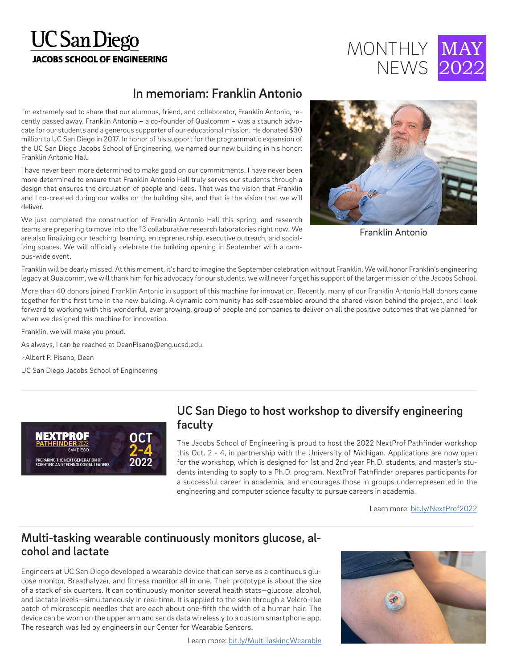# **UC** San Diego **JACOBS SCHOOL OF ENGINEERING**



## In memoriam: Franklin Antonio

I'm extremely sad to share that our alumnus, friend, and collaborator, Franklin Antonio, recently passed away. Franklin Antonio – a co-founder of Qualcomm – was a staunch advocate for our students and a generous supporter of our educational mission. He donated \$30 million to UC San Diego in 2017. In honor of his support for the programmatic expansion of the UC San Diego Jacobs School of Engineering, we named our new building in his honor: Franklin Antonio Hall.

I have never been more determined to make good on our commitments. I have never been more determined to ensure that Franklin Antonio Hall truly serves our students through a design that ensures the circulation of people and ideas. That was the vision that Franklin and I co-created during our walks on the building site, and that is the vision that we will deliver.

We just completed the construction of Franklin Antonio Hall this spring, and research teams are preparing to move into the 13 collaborative research laboratories right now. We are also finalizing our teaching, learning, entrepreneurship, executive outreach, and socializing spaces. We will officially celebrate the building opening in September with a campus-wide event.



Franklin Antonio

Franklin will be dearly missed. At this moment, it's hard to imagine the September celebration without Franklin. We will honor Franklin's engineering legacy at Qualcomm, we will thank him for his advocacy for our students, we will never forget his support of the larger mission of the Jacobs School.

More than 40 donors joined Franklin Antonio in support of this machine for innovation. Recently, many of our Franklin Antonio Hall donors came together for the first time in the new building. A dynamic community has self-assembled around the shared vision behind the project, and I look forward to working with this wonderful, ever growing, group of people and companies to deliver on all the positive outcomes that we planned for when we designed this machine for innovation.

Franklin, we will make you proud.

As always, I can be reached at DeanPisano@eng.ucsd.edu.

~Albert P. Pisano, Dean

UC San Diego Jacobs School of Engineering



#### UC San Diego to host workshop to diversify engineering faculty

The Jacobs School of Engineering is proud to host the 2022 NextProf Pathfinder workshop this Oct. 2 - 4, in partnership with the University of Michigan. Applications are now open for the workshop, which is designed for 1st and 2nd year Ph.D. students, and master's students intending to apply to a Ph.D. program. NextProf Pathfinder prepares participants for a successful career in academia, and encourages those in groups underrepresented in the engineering and computer science faculty to pursue careers in academia.

Learn more: bit.ly/NextProf2022

#### Multi-tasking wearable continuously monitors glucose, alcohol and lactate

Engineers at UC San Diego developed a wearable device that can serve as a continuous glucose monitor, Breathalyzer, and fitness monitor all in one. Their prototype is about the size of a stack of six quarters. It can continuously monitor several health stats—glucose, alcohol, and lactate levels—simultaneously in real-time. It is applied to the skin through a Velcro-like patch of microscopic needles that are each about one-fifth the width of a human hair. The device can be worn on the upper arm and sends data wirelessly to a custom smartphone app. The research was led by engineers in our Center for Wearable Sensors.